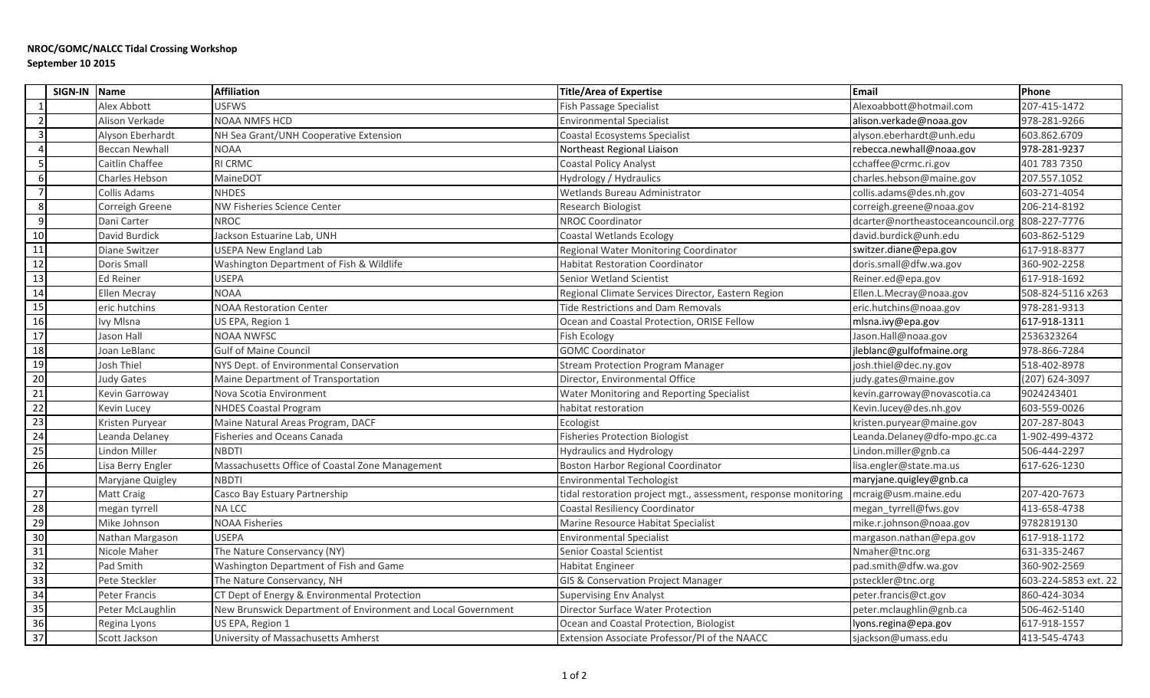## **NROC/GOMC/NALCC Tidal Crossing Workshop September 10 2015**

|                 | SIGN-IN Name |                       | <b>Affiliation</b>                                           | <b>Title/Area of Expertise</b>                                  | Email                             | Phone                |
|-----------------|--------------|-----------------------|--------------------------------------------------------------|-----------------------------------------------------------------|-----------------------------------|----------------------|
|                 |              | Alex Abbott           | <b>USFWS</b>                                                 | <b>Fish Passage Specialist</b>                                  | Alexoabbott@hotmail.com           | 207-415-1472         |
|                 |              | Alison Verkade        | <b>NOAA NMFS HCD</b>                                         | <b>Environmental Specialist</b>                                 | alison.verkade@noaa.gov           | 978-281-9266         |
|                 |              | Alyson Eberhardt      | NH Sea Grant/UNH Cooperative Extension                       | Coastal Ecosystems Specialist                                   | alyson.eberhardt@unh.edu          | 603.862.6709         |
|                 |              | <b>Beccan Newhall</b> | <b>NOAA</b>                                                  | Northeast Regional Liaison                                      | rebecca.newhall@noaa.gov          | 978-281-9237         |
|                 |              | Caitlin Chaffee       | <b>RI CRMC</b>                                               | Coastal Policy Analyst                                          | cchaffee@crmc.ri.gov              | 401 783 7350         |
| 6               |              | Charles Hebson        | MaineDOT                                                     | Hydrology / Hydraulics                                          | charles.hebson@maine.gov          | 207.557.1052         |
|                 |              | Collis Adams          | <b>NHDES</b>                                                 | Wetlands Bureau Administrator                                   | collis.adams@des.nh.gov           | 603-271-4054         |
|                 |              | Correigh Greene       | NW Fisheries Science Center                                  | Research Biologist                                              | correigh.greene@noaa.gov          | 206-214-8192         |
| 9               |              | Dani Carter           | <b>NROC</b>                                                  | <b>NROC Coordinator</b>                                         | dcarter@northeastoceancouncil.org | 808-227-7776         |
| 10              |              | David Burdick         | Jackson Estuarine Lab, UNH                                   | Coastal Wetlands Ecology                                        | david.burdick@unh.edu             | 603-862-5129         |
| 11              |              | Diane Switzer         | <b>USEPA New England Lab</b>                                 | Regional Water Monitoring Coordinator                           | switzer.diane@epa.gov             | 617-918-8377         |
| $\overline{12}$ |              | Doris Small           | Washington Department of Fish & Wildlife                     | <b>Habitat Restoration Coordinator</b>                          | doris.small@dfw.wa.gov            | 360-902-2258         |
| 13              |              | Ed Reiner             | <b>USEPA</b>                                                 | Senior Wetland Scientist                                        | Reiner.ed@epa.gov                 | 617-918-1692         |
| 14              |              | Ellen Mecray          | <b>NOAA</b>                                                  | Regional Climate Services Director, Eastern Region              | Ellen.L.Mecray@noaa.gov           | 508-824-5116 x263    |
| 15              |              | eric hutchins         | <b>NOAA Restoration Center</b>                               | Tide Restrictions and Dam Removals                              | eric.hutchins@noaa.gov            | 978-281-9313         |
| 16              |              | Ivy Mlsna             | US EPA, Region 1                                             | Ocean and Coastal Protection, ORISE Fellow                      | mlsna.ivy@epa.gov                 | 617-918-1311         |
| 17              |              | Jason Hall            | <b>NOAA NWFSC</b>                                            | Fish Ecology                                                    | Jason.Hall@noaa.gov               | 2536323264           |
| $\overline{18}$ |              | Joan LeBlanc          | <b>Gulf of Maine Council</b>                                 | <b>GOMC Coordinator</b>                                         | leblanc@gulfofmaine.org           | 978-866-7284         |
| 19              |              | Josh Thiel            | NYS Dept. of Environmental Conservation                      | <b>Stream Protection Program Manager</b>                        | josh.thiel@dec.ny.gov             | 518-402-8978         |
| 20              |              | <b>Judy Gates</b>     | Maine Department of Transportation                           | Director, Environmental Office                                  | judy.gates@maine.gov              | (207) 624-3097       |
| $\overline{21}$ |              | Kevin Garroway        | Nova Scotia Environment                                      | Water Monitoring and Reporting Specialist                       | kevin.garroway@novascotia.ca      | 9024243401           |
| $\overline{22}$ |              | Kevin Lucey           | <b>NHDES Coastal Program</b>                                 | habitat restoration                                             | Kevin.lucey@des.nh.gov            | 603-559-0026         |
| $\overline{23}$ |              | Kristen Puryear       | Maine Natural Areas Program, DACF                            | Ecologist                                                       | kristen.puryear@maine.gov         | 207-287-8043         |
| $\overline{24}$ |              | Leanda Delaney        | <b>Fisheries and Oceans Canada</b>                           | <b>Fisheries Protection Biologist</b>                           | Leanda.Delaney@dfo-mpo.gc.ca      | 1-902-499-4372       |
| 25              |              | Lindon Miller         | <b>NBDTI</b>                                                 | <b>Hydraulics and Hydrology</b>                                 | Lindon.miller@gnb.ca              | 506-444-2297         |
| 26              |              | Lisa Berry Engler     | Massachusetts Office of Coastal Zone Management              | <b>Boston Harbor Regional Coordinator</b>                       | lisa.engler@state.ma.us           | 617-626-1230         |
|                 |              | Maryjane Quigley      | <b>NBDTI</b>                                                 | <b>Environmental Techologist</b>                                | maryjane.quigley@gnb.ca           |                      |
| 27              |              | Matt Craig            | Casco Bay Estuary Partnership                                | tidal restoration project mgt., assessment, response monitoring | mcraig@usm.maine.edu              | 207-420-7673         |
| 28              |              | megan tyrrell         | <b>NALCC</b>                                                 | Coastal Resiliency Coordinator                                  | megan tyrrell@fws.gov             | 413-658-4738         |
| 29              |              | Mike Johnson          | <b>NOAA Fisheries</b>                                        | Marine Resource Habitat Specialist                              | mike.r.johnson@noaa.gov           | 9782819130           |
| 30              |              | Nathan Margason       | <b>USEPA</b>                                                 | <b>Environmental Specialist</b>                                 | margason.nathan@epa.gov           | 617-918-1172         |
| $\overline{31}$ |              | Nicole Maher          | The Nature Conservancy (NY)                                  | Senior Coastal Scientist                                        | Nmaher@tnc.org                    | 631-335-2467         |
| 32              |              | Pad Smith             | Washington Department of Fish and Game                       | <b>Habitat Engineer</b>                                         | pad.smith@dfw.wa.gov              | 360-902-2569         |
| 33              |              | Pete Steckler         | The Nature Conservancy, NH                                   | GIS & Conservation Project Manager                              | psteckler@tnc.org                 | 603-224-5853 ext. 22 |
| 34              |              | Peter Francis         | CT Dept of Energy & Environmental Protection                 | <b>Supervising Env Analyst</b>                                  | peter.francis@ct.gov              | 860-424-3034         |
| $\overline{35}$ |              | Peter McLaughlin      | New Brunswick Department of Environment and Local Government | Director Surface Water Protection                               | peter.mclaughlin@gnb.ca           | 506-462-5140         |
| 36              |              | Regina Lyons          | US EPA, Region 1                                             | Ocean and Coastal Protection, Biologist                         | lyons.regina@epa.gov              | 617-918-1557         |
| 37              |              | Scott Jackson         | University of Massachusetts Amherst                          | Extension Associate Professor/PI of the NAACC                   | sjackson@umass.edu                | 413-545-4743         |